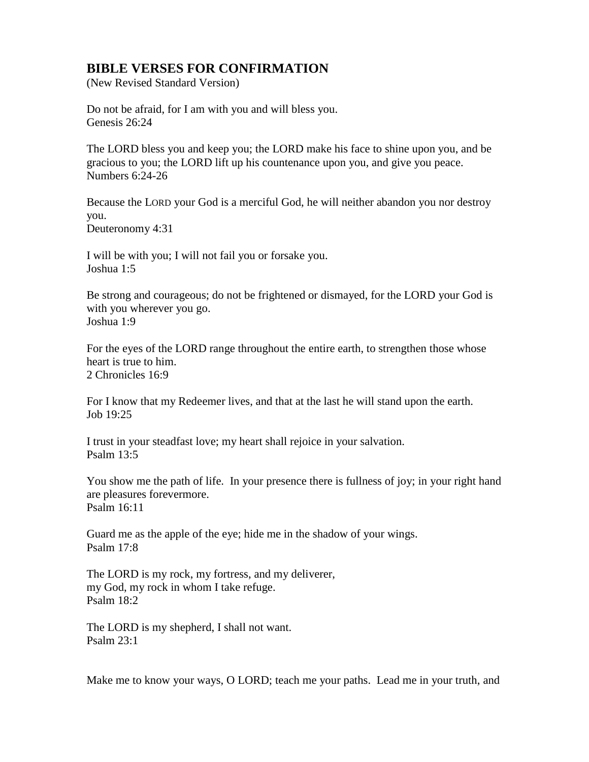## **BIBLE VERSES FOR CONFIRMATION**

(New Revised Standard Version)

Do not be afraid, for I am with you and will bless you. Genesis 26:24

The LORD bless you and keep you; the LORD make his face to shine upon you, and be gracious to you; the LORD lift up his countenance upon you, and give you peace. Numbers 6:24-26

Because the LORD your God is a merciful God, he will neither abandon you nor destroy you.

Deuteronomy 4:31

I will be with you; I will not fail you or forsake you. Joshua 1:5

Be strong and courageous; do not be frightened or dismayed, for the LORD your God is with you wherever you go. Joshua 1:9

For the eyes of the LORD range throughout the entire earth, to strengthen those whose heart is true to him. 2 Chronicles 16:9

For I know that my Redeemer lives, and that at the last he will stand upon the earth. Job 19:25

I trust in your steadfast love; my heart shall rejoice in your salvation. Psalm 13:5

You show me the path of life. In your presence there is fullness of joy; in your right hand are pleasures forevermore. Psalm 16:11

Guard me as the apple of the eye; hide me in the shadow of your wings. Psalm 17:8

The LORD is my rock, my fortress, and my deliverer, my God, my rock in whom I take refuge. Psalm 18:2

The LORD is my shepherd, I shall not want. Psalm 23:1

Make me to know your ways, O LORD; teach me your paths. Lead me in your truth, and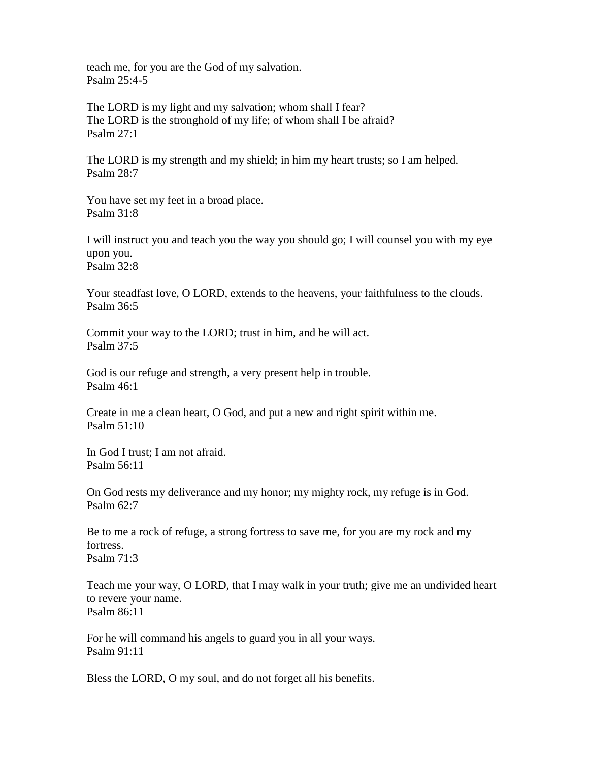teach me, for you are the God of my salvation. Psalm 25:4-5

The LORD is my light and my salvation; whom shall I fear? The LORD is the stronghold of my life; of whom shall I be afraid? Psalm 27:1

The LORD is my strength and my shield; in him my heart trusts; so I am helped. Psalm 28:7

You have set my feet in a broad place. Psalm 31:8

I will instruct you and teach you the way you should go; I will counsel you with my eye upon you. Psalm 32:8

Your steadfast love, O LORD, extends to the heavens, your faithfulness to the clouds. Psalm 36:5

Commit your way to the LORD; trust in him, and he will act. Psalm 37:5

God is our refuge and strength, a very present help in trouble. Psalm 46:1

Create in me a clean heart, O God, and put a new and right spirit within me. Psalm 51:10

In God I trust; I am not afraid. Psalm 56:11

On God rests my deliverance and my honor; my mighty rock, my refuge is in God. Psalm 62:7

Be to me a rock of refuge, a strong fortress to save me, for you are my rock and my fortress. Psalm 71:3

Teach me your way, O LORD, that I may walk in your truth; give me an undivided heart to revere your name. Psalm 86:11

For he will command his angels to guard you in all your ways. Psalm 91:11

Bless the LORD, O my soul, and do not forget all his benefits.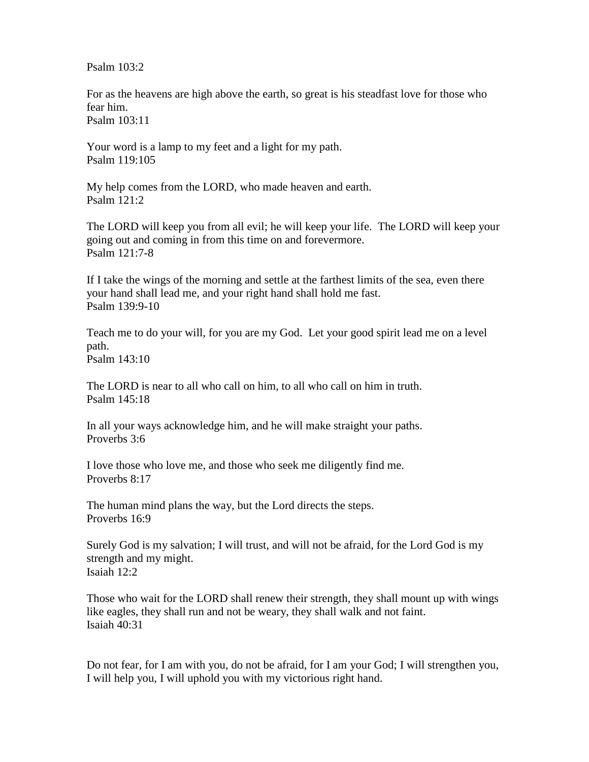Psalm  $103:2$ 

For as the heavens are high above the earth, so great is his steadfast love for those who fear him. Psalm 103:11

Your word is a lamp to my feet and a light for my path. Psalm 119:105

My help comes from the LORD, who made heaven and earth. Psalm 121:2

The LORD will keep you from all evil; he will keep your life. The LORD will keep your going out and coming in from this time on and forevermore. Psalm 121:7-8

If I take the wings of the morning and settle at the farthest limits of the sea, even there your hand shall lead me, and your right hand shall hold me fast. Psalm 139:9-10

Teach me to do your will, for you are my God. Let your good spirit lead me on a level path. Psalm 143:10

The LORD is near to all who call on him, to all who call on him in truth. Psalm 145:18

In all your ways acknowledge him, and he will make straight your paths. Proverbs 3:6

I love those who love me, and those who seek me diligently find me. Proverbs 8:17

The human mind plans the way, but the Lord directs the steps. Proverbs 16:9

Surely God is my salvation; I will trust, and will not be afraid, for the Lord God is my strength and my might. Isaiah 12:2

Those who wait for the LORD shall renew their strength, they shall mount up with wings like eagles, they shall run and not be weary, they shall walk and not faint. Isaiah 40:31

Do not fear, for I am with you, do not be afraid, for I am your God; I will strengthen you, I will help you, I will uphold you with my victorious right hand.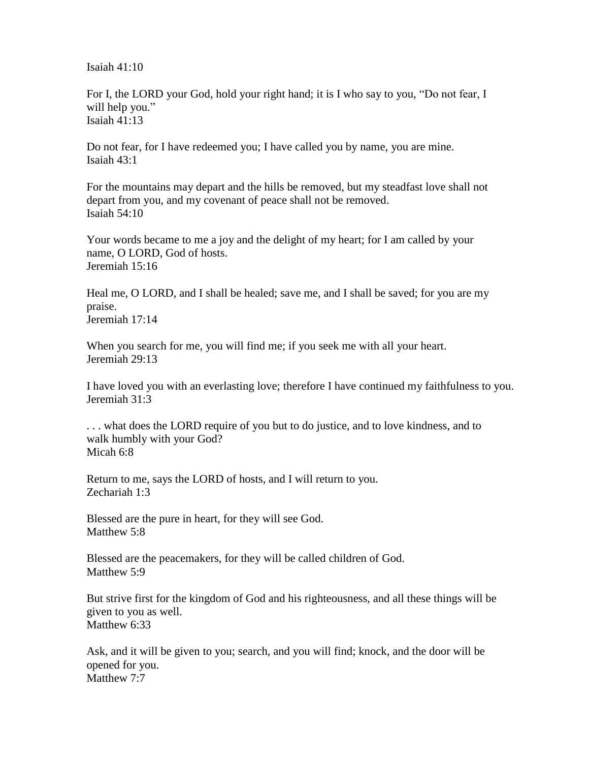Isaiah 41:10

For I, the LORD your God, hold your right hand; it is I who say to you, "Do not fear, I will help you." Isaiah 41:13

Do not fear, for I have redeemed you; I have called you by name, you are mine. Isaiah 43:1

For the mountains may depart and the hills be removed, but my steadfast love shall not depart from you, and my covenant of peace shall not be removed. Isaiah 54:10

Your words became to me a joy and the delight of my heart; for I am called by your name, O LORD, God of hosts. Jeremiah 15:16

Heal me, O LORD, and I shall be healed; save me, and I shall be saved; for you are my praise. Jeremiah 17:14

When you search for me, you will find me; if you seek me with all your heart. Jeremiah 29:13

I have loved you with an everlasting love; therefore I have continued my faithfulness to you. Jeremiah 31:3

. . . what does the LORD require of you but to do justice, and to love kindness, and to walk humbly with your God? Micah 6:8

Return to me, says the LORD of hosts, and I will return to you. Zechariah 1:3

Blessed are the pure in heart, for they will see God. Matthew 5:8

Blessed are the peacemakers, for they will be called children of God. Matthew 5:9

But strive first for the kingdom of God and his righteousness, and all these things will be given to you as well. Matthew 6:33

Ask, and it will be given to you; search, and you will find; knock, and the door will be opened for you. Matthew 7:7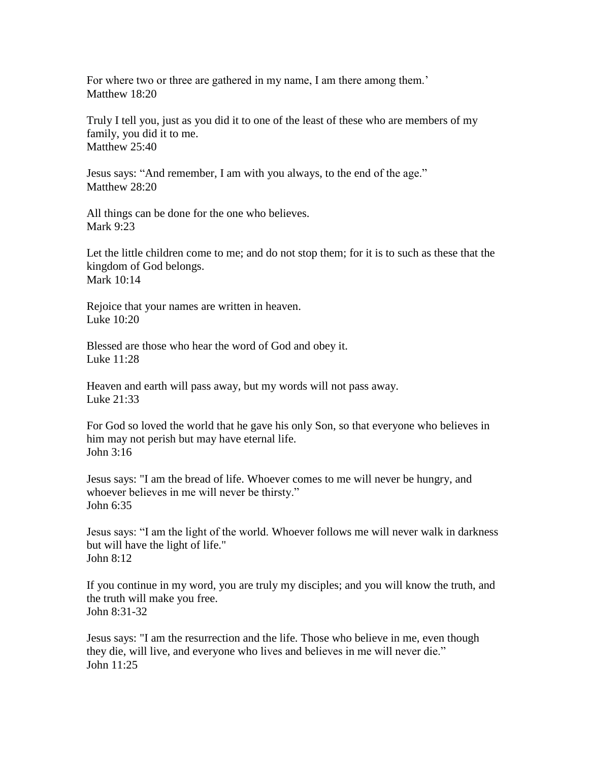For where two or three are gathered in my name, I am there among them.' Matthew 18:20

Truly I tell you, just as you did it to one of the least of these who are members of my family, you did it to me. Matthew 25:40

Jesus says: "And remember, I am with you always, to the end of the age." Matthew 28:20

All things can be done for the one who believes. Mark 9:23

Let the little children come to me; and do not stop them; for it is to such as these that the kingdom of God belongs. Mark 10:14

Rejoice that your names are written in heaven. Luke 10:20

Blessed are those who hear the word of God and obey it. Luke 11:28

Heaven and earth will pass away, but my words will not pass away. Luke 21:33

For God so loved the world that he gave his only Son, so that everyone who believes in him may not perish but may have eternal life. John 3:16

Jesus says: "I am the bread of life. Whoever comes to me will never be hungry, and whoever believes in me will never be thirsty." John 6:35

Jesus says: "I am the light of the world. Whoever follows me will never walk in darkness but will have the light of life." John  $8:12$ 

If you continue in my word, you are truly my disciples; and you will know the truth, and the truth will make you free. John 8:31-32

Jesus says: "I am the resurrection and the life. Those who believe in me, even though they die, will live, and everyone who lives and believes in me will never die." John 11:25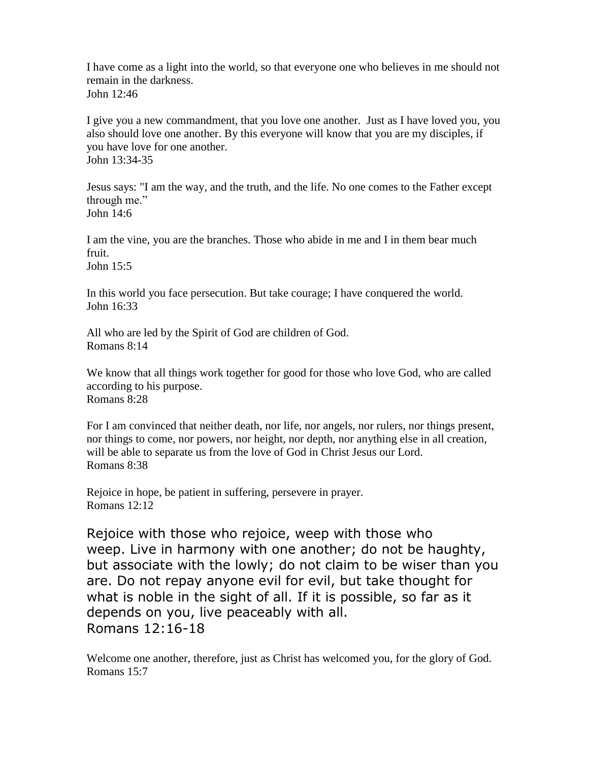I have come as a light into the world, so that everyone one who believes in me should not remain in the darkness. John 12:46

I give you a new commandment, that you love one another. Just as I have loved you, you also should love one another. By this everyone will know that you are my disciples, if you have love for one another. John 13:34-35

Jesus says: "I am the way, and the truth, and the life. No one comes to the Father except through me." John 14:6

I am the vine, you are the branches. Those who abide in me and I in them bear much fruit. John 15:5

In this world you face persecution. But take courage; I have conquered the world. John 16:33

All who are led by the Spirit of God are children of God. Romans 8:14

We know that all things work together for good for those who love God, who are called according to his purpose. Romans 8:28

For I am convinced that neither death, nor life, nor angels, nor rulers, nor things present, nor things to come, nor powers, nor height, nor depth, nor anything else in all creation, will be able to separate us from the love of God in Christ Jesus our Lord. Romans 8:38

Rejoice in hope, be patient in suffering, persevere in prayer. Romans 12:12

Rejoice with those who rejoice, weep with those who weep. Live in harmony with one another; do not be haughty, but associate with the lowly; do not claim to be wiser than you are. Do not repay anyone evil for evil, but take thought for what is noble in the sight of all. If it is possible, so far as it depends on you, live peaceably with all. Romans 12:16-18

Welcome one another, therefore, just as Christ has welcomed you, for the glory of God. Romans 15:7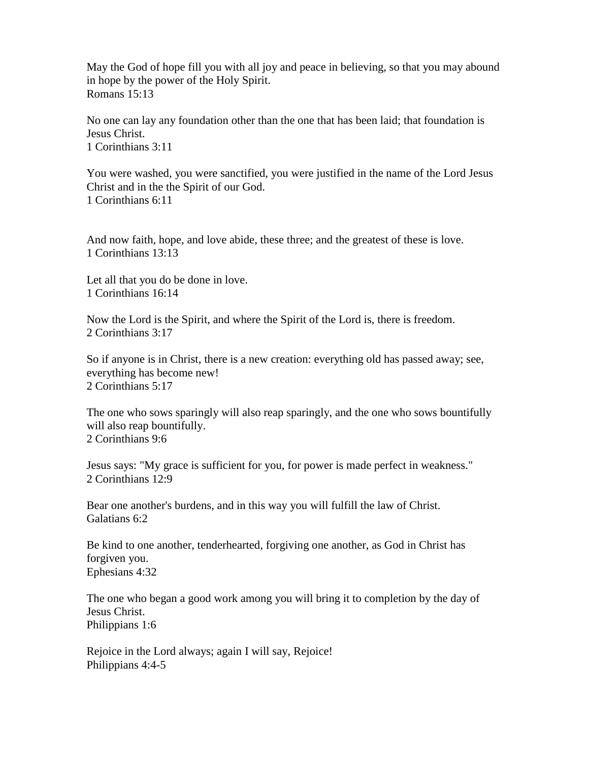May the God of hope fill you with all joy and peace in believing, so that you may abound in hope by the power of the Holy Spirit. Romans 15:13

No one can lay any foundation other than the one that has been laid; that foundation is Jesus Christ. 1 Corinthians 3:11

You were washed, you were sanctified, you were justified in the name of the Lord Jesus Christ and in the the Spirit of our God. 1 Corinthians 6:11

And now faith, hope, and love abide, these three; and the greatest of these is love. 1 Corinthians 13:13

Let all that you do be done in love. 1 Corinthians 16:14

Now the Lord is the Spirit, and where the Spirit of the Lord is, there is freedom. 2 Corinthians 3:17

So if anyone is in Christ, there is a new creation: everything old has passed away; see, everything has become new! 2 Corinthians 5:17

The one who sows sparingly will also reap sparingly, and the one who sows bountifully will also reap bountifully. 2 Corinthians 9:6

Jesus says: "My grace is sufficient for you, for power is made perfect in weakness." 2 Corinthians 12:9

Bear one another's burdens, and in this way you will fulfill the law of Christ. Galatians 6:2

Be kind to one another, tenderhearted, forgiving one another, as God in Christ has forgiven you. Ephesians 4:32

The one who began a good work among you will bring it to completion by the day of Jesus Christ. Philippians 1:6

Rejoice in the Lord always; again I will say, Rejoice! Philippians 4:4-5